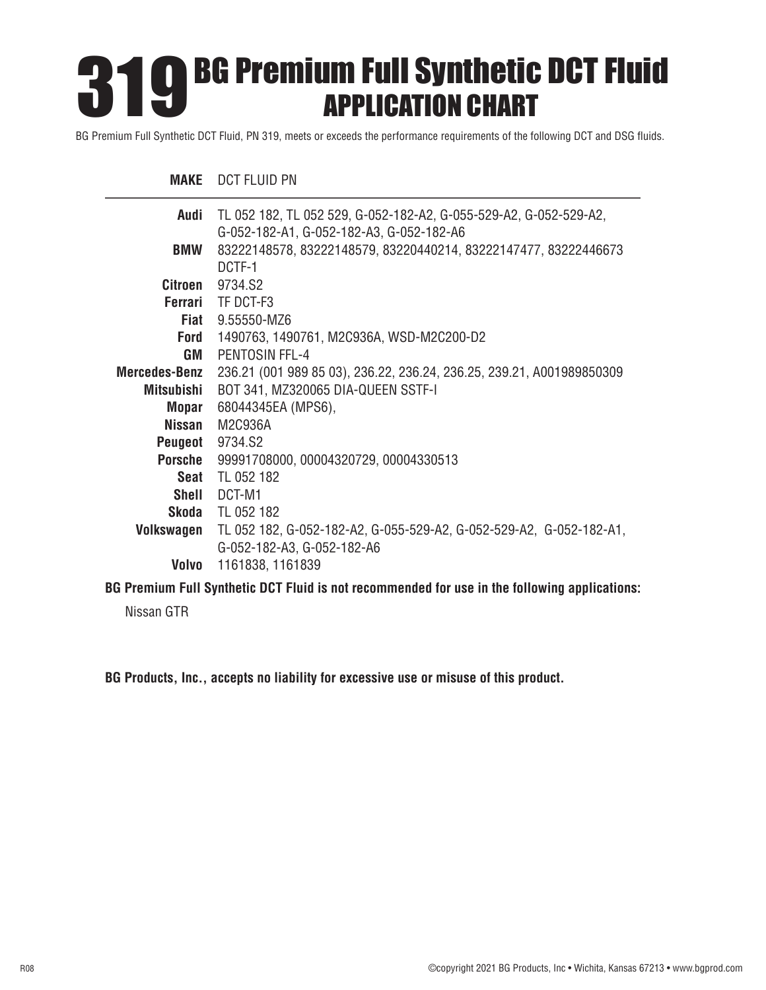# BG Premium Full Synthetic DCT Fluid APPLICATION CHART 319

BG Premium Full Synthetic DCT Fluid, PN 319, meets or exceeds the performance requirements of the following DCT and DSG fluids.

#### **MAKE** DCT FLUID PN

| Audi                                                                                                                                                                                                                              | TL 052 182, TL 052 529, G-052-182-A2, G-055-529-A2, G-052-529-A2,     |
|-----------------------------------------------------------------------------------------------------------------------------------------------------------------------------------------------------------------------------------|-----------------------------------------------------------------------|
|                                                                                                                                                                                                                                   | G-052-182-A1, G-052-182-A3, G-052-182-A6                              |
| <b>BMW</b>                                                                                                                                                                                                                        | 83222148578, 83222148579, 83220440214, 83222147477, 83222446673       |
|                                                                                                                                                                                                                                   | DCTF-1                                                                |
| Citroen                                                                                                                                                                                                                           | 9734.S2                                                               |
|                                                                                                                                                                                                                                   | Ferrari TF DCT-F3                                                     |
|                                                                                                                                                                                                                                   | <b>Fiat</b> 9.55550-MZ6                                               |
| Ford                                                                                                                                                                                                                              | 1490763, 1490761, M2C936A, WSD-M2C200-D2                              |
| GM                                                                                                                                                                                                                                | PENTOSIN FFL-4                                                        |
| <b>Mercedes-Benz</b>                                                                                                                                                                                                              | 236.21 (001 989 85 03), 236.22, 236.24, 236.25, 239.21, A001989850309 |
| Mitsubishi                                                                                                                                                                                                                        | BOT 341, MZ320065 DIA-QUEEN SSTF-I                                    |
| <b>Mopar</b>                                                                                                                                                                                                                      | 68044345EA (MPS6),                                                    |
| Nissan                                                                                                                                                                                                                            | M2C936A                                                               |
| Peugeot                                                                                                                                                                                                                           | 9734.S2                                                               |
| Porsche                                                                                                                                                                                                                           | 99991708000, 00004320729, 00004330513                                 |
|                                                                                                                                                                                                                                   | <b>Seat</b> TL 052 182                                                |
|                                                                                                                                                                                                                                   | Shell DCT-M1                                                          |
|                                                                                                                                                                                                                                   | <b>Skoda</b> TL 052 182                                               |
| Volkswagen                                                                                                                                                                                                                        | TL 052 182, G-052-182-A2, G-055-529-A2, G-052-529-A2, G-052-182-A1,   |
|                                                                                                                                                                                                                                   | G-052-182-A3, G-052-182-A6                                            |
| Volvo                                                                                                                                                                                                                             | 1161838, 1161839                                                      |
| $\mathbf{r}$ . The state of the state of the state of the state of the state of the state of the state of the state of the state of the state of the state of the state of the state of the state of the state of the state of th |                                                                       |

**BG Premium Full Synthetic DCT Fluid is not recommended for use in the following applications:**

Nissan GTR

**BG Products, Inc., accepts no liability for excessive use or misuse of this product.**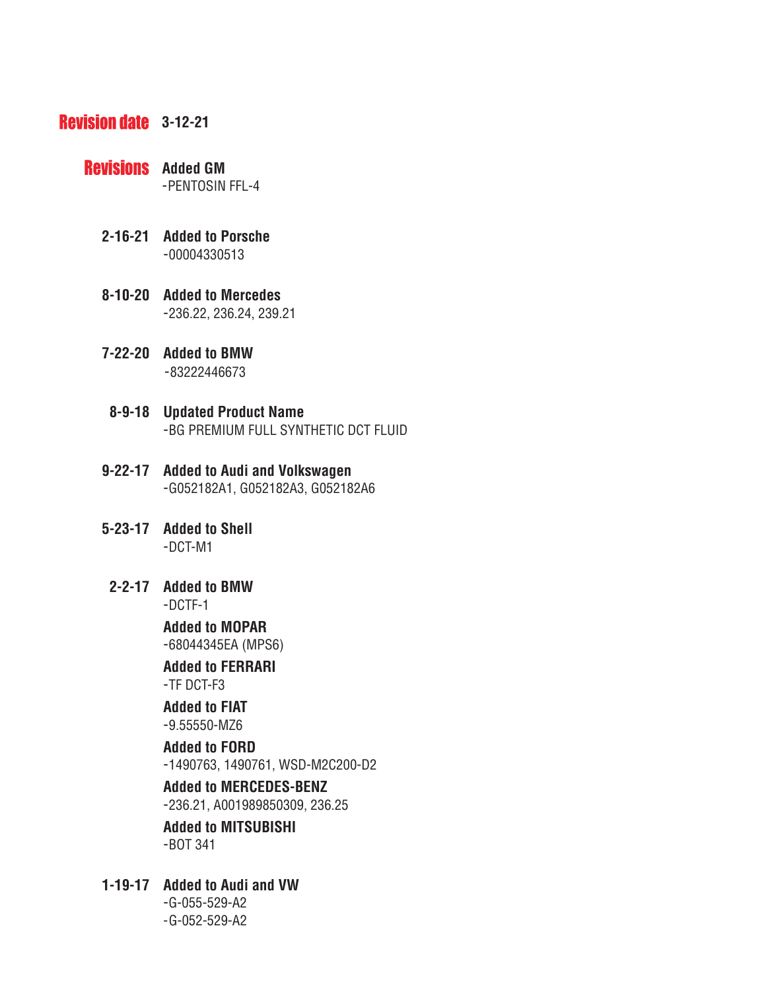## **Revision date** 3-12-21

- **Revisions** Added GM -PENTOSIN FFL-4
	- **2-16-21 Added to Porsche** -00004330513
	- **8-10-20 Added to Mercedes** -236.22, 236.24, 239.21
	- **7-22-20 Added to BMW** -83222446673
	- **8-9-18 Updated Product Name** -BG PREMIUM FULL SYNTHETIC DCT FLUID
	- **9-22-17 Added to Audi and Volkswagen** -G052182A1, G052182A3, G052182A6
	- **5-23-17 Added to Shell**  -DCT-M1
	- **2-2-17 Added to BMW** -DCTF-1

 **Added to MOPAR** -68044345EA (MPS6)

 **Added to FERRARI** -TF DCT-F3

## **Added to FIAT**

-9.55550-MZ6

#### **Added to FORD**

-1490763, 1490761, WSD-M2C200-D2

## **Added to MERCEDES-BENZ**

-236.21, A001989850309, 236.25

### **Added to MITSUBISHI** -BOT 341

- **1-19-17 Added to Audi and VW** 
	- -G-055-529-A2 -G-052-529-A2